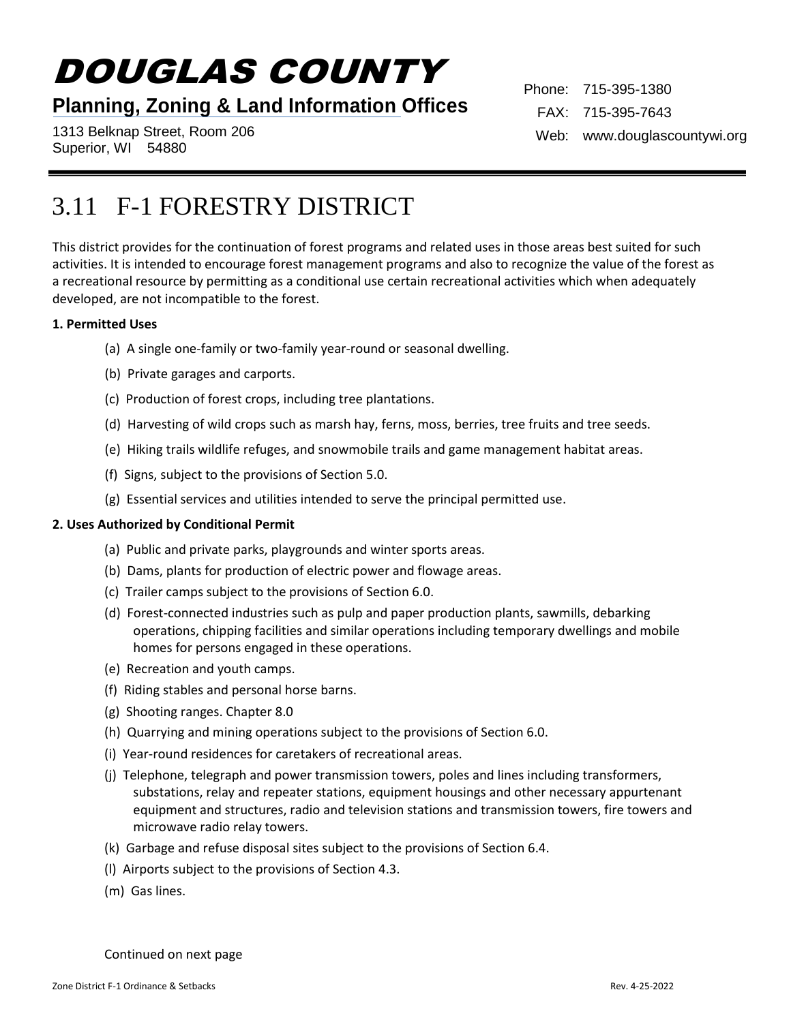# DOUGLAS COUNTY

## **Planning, Zoning & Land Information Offices**

1313 Belknap Street, Room 206 Superior, WI 54880

Phone: 715-395-1380 FAX: 715-395-7643 Web: www.douglascountywi.org

# 3.11 F-1 FORESTRY DISTRICT

This district provides for the continuation of forest programs and related uses in those areas best suited for such activities. It is intended to encourage forest management programs and also to recognize the value of the forest as a recreational resource by permitting as a conditional use certain recreational activities which when adequately developed, are not incompatible to the forest.

#### **1. Permitted Uses**

- (a) A single one-family or two-family year-round or seasonal dwelling.
- (b) Private garages and carports.
- (c) Production of forest crops, including tree plantations.
- (d) Harvesting of wild crops such as marsh hay, ferns, moss, berries, tree fruits and tree seeds.
- (e) Hiking trails wildlife refuges, and snowmobile trails and game management habitat areas.
- (f) Signs, subject to the provisions of Section 5.0.
- (g) Essential services and utilities intended to serve the principal permitted use.

#### **2. Uses Authorized by Conditional Permit**

- (a) Public and private parks, playgrounds and winter sports areas.
- (b) Dams, plants for production of electric power and flowage areas.
- (c) Trailer camps subject to the provisions of Section 6.0.
- (d) Forest-connected industries such as pulp and paper production plants, sawmills, debarking operations, chipping facilities and similar operations including temporary dwellings and mobile homes for persons engaged in these operations.
- (e) Recreation and youth camps.
- (f) Riding stables and personal horse barns.
- (g) Shooting ranges. Chapter 8.0
- (h) Quarrying and mining operations subject to the provisions of Section 6.0.
- (i) Year-round residences for caretakers of recreational areas.
- (j) Telephone, telegraph and power transmission towers, poles and lines including transformers, substations, relay and repeater stations, equipment housings and other necessary appurtenant equipment and structures, radio and television stations and transmission towers, fire towers and microwave radio relay towers.
- (k) Garbage and refuse disposal sites subject to the provisions of Section 6.4.
- (l) Airports subject to the provisions of Section 4.3.
- (m) Gas lines.

Continued on next page